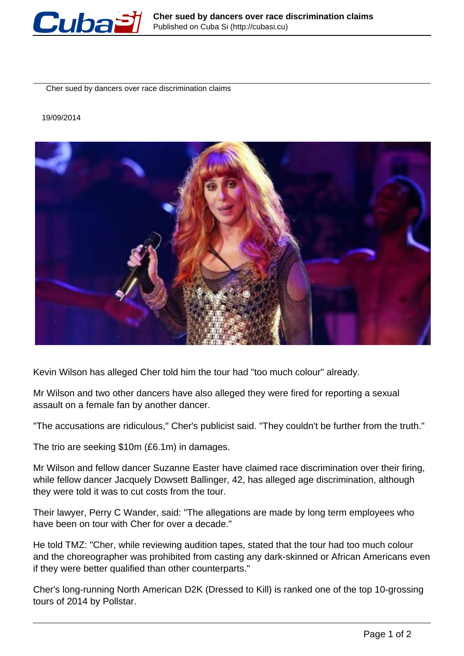

Cher sued by dancers over race discrimination claims

19/09/2014



Kevin Wilson has alleged Cher told him the tour had "too much colour" already.

Mr Wilson and two other dancers have also alleged they were fired for reporting a sexual assault on a female fan by another dancer.

"The accusations are ridiculous," Cher's publicist said. "They couldn't be further from the truth."

The trio are seeking \$10m (£6.1m) in damages.

Mr Wilson and fellow dancer Suzanne Easter have claimed race discrimination over their firing, while fellow dancer Jacquely Dowsett Ballinger, 42, has alleged age discrimination, although they were told it was to cut costs from the tour.

Their lawyer, Perry C Wander, said: "The allegations are made by long term employees who have been on tour with Cher for over a decade."

He told TMZ: "Cher, while reviewing audition tapes, stated that the tour had too much colour and the choreographer was prohibited from casting any dark-skinned or African Americans even if they were better qualified than other counterparts."

Cher's long-running North American D2K (Dressed to Kill) is ranked one of the top 10-grossing tours of 2014 by Pollstar.